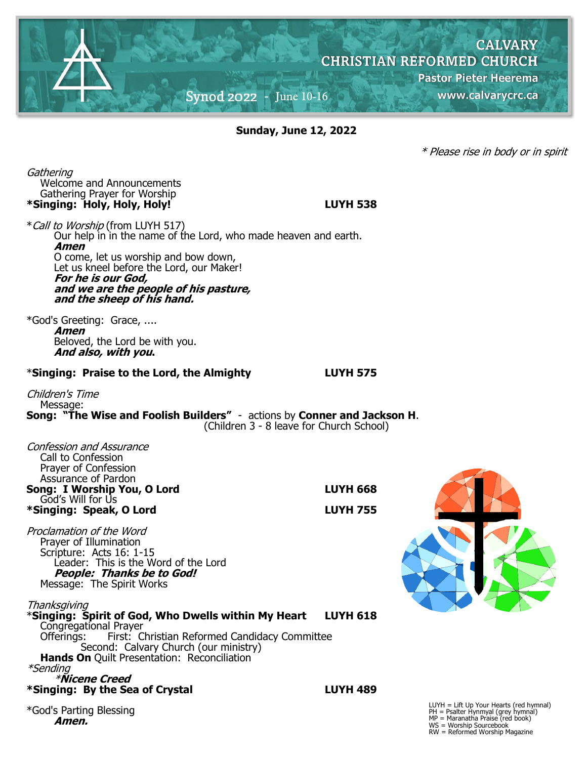

**Sunday, June 12, 2022**

\* Please rise in body or in spirit

**Gathering** Welcome and Announcements Gathering Prayer for Worship **\*Singing: Holy, Holy, Holy! LUYH 538**

\*Call to Worship (from LUYH 517) Our help in in the name of the Lord, who made heaven and earth. **Amen** O come, let us worship and bow down, Let us kneel before the Lord, our Maker! **For he is our God, and we are the people of his pasture, and the sheep of his hand.**

\*God's Greeting: Grace, .... **Amen** Beloved, the Lord be with you. **And also, with you.**

#### \***Singing: Praise to the Lord, the Almighty LUYH 575**

Children's Time Message: **Song: "The Wise and Foolish Builders"** - actions by **Conner and Jackson H**. (Children 3 - 8 leave for Church School)

| <b>Confession and Assurance</b><br>Call to Confession<br>Prayer of Confession<br>Assurance of Pardon                                                                                         |                 |                                                                                                                                                              |
|----------------------------------------------------------------------------------------------------------------------------------------------------------------------------------------------|-----------------|--------------------------------------------------------------------------------------------------------------------------------------------------------------|
| Song: I Worship You, O Lord<br>God's Will for Us                                                                                                                                             | <b>LUYH 668</b> |                                                                                                                                                              |
| *Singing: Speak, O Lord                                                                                                                                                                      | <b>LUYH 755</b> |                                                                                                                                                              |
| Proclamation of the Word<br>Prayer of Illumination<br>Scripture: Acts 16: 1-15<br>Leader: This is the Word of the Lord<br><b>People: Thanks be to God!</b><br>Message: The Spirit Works      |                 |                                                                                                                                                              |
| Thanksgiving<br>*Singing: Spirit of God, Who Dwells within My Heart                                                                                                                          | <b>LUYH 618</b> |                                                                                                                                                              |
| Congregational Prayer<br>Offerings: First: Christian Reformed Candidacy Committee<br>Second: Calvary Church (our ministry)<br>Hands On Quilt Presentation: Reconciliation<br><i>*Sending</i> |                 |                                                                                                                                                              |
| <i><b>*Nicene Creed</b></i><br>*Singing: By the Sea of Crystal                                                                                                                               | <b>LUYH 489</b> |                                                                                                                                                              |
| *God's Parting Blessing<br>Amen.                                                                                                                                                             |                 | $LUYH = Lift Up Your Hearts (red hymnal)$<br>$PH =$ Psalter Hynmyal (grey hymnal)<br>$MP = Maranatha \text{ Praise (red book)}$<br>$MC = M$ ombin Couraghook |

MP = Maranatha Praise (red book) WS = Worship Sourcebook RW = Reformed Worship Magazine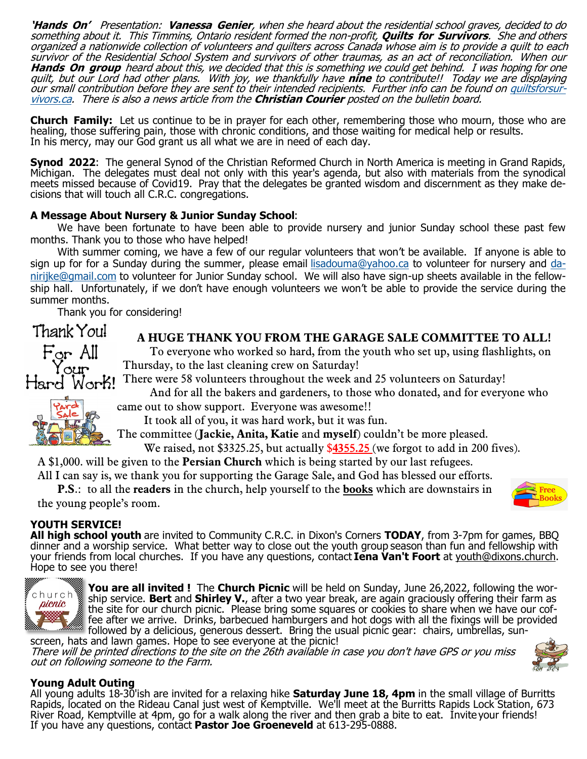**'Hands On'** Presentation: **Vanessa Genier**, when she heard about the residential school graves, decided to do something about it. This Timmins, Ontario resident formed the non-profit, **Quilts for Survivors**. She and others organized a nationwide collection of volunteers and quilters across Canada whose aim is to provide a quilt to each survivor of the Residential School System and survivors of other traumas, as an act of reconciliation. When our **Hands On group** heard about this, we decided that this is something we could get behind. I was hoping for one quilt, but our Lord had other plans. With joy, we thankfully have **nine** to contribute!! Today we are displaying our small contribution before they are sent to their intended recipients. Further info can be found on [quiltsforsur](http://quiltsforsurvivors.ca)[vivors.ca.](http://quiltsforsurvivors.ca) There is also a news article from the **Christian Courier** posted on the bulletin board.

**Church Family:** Let us continue to be in prayer for each other, remembering those who mourn, those who are healing, those suffering pain, those with chronic conditions, and those waiting for medical help or results. In his mercy, may our God grant us all what we are in need of each day.

**Synod 2022**: The general Synod of the Christian Reformed Church in North America is meeting in Grand Rapids, Michigan. The delegates must deal not only with this year's agenda, but also with materials from the synodical meets missed because of Covid19. Pray that the delegates be granted wisdom and discernment as they make decisions that will touch all C.R.C. congregations.

### **A Message About Nursery & Junior Sunday School**:

We have been fortunate to have been able to provide nursery and junior Sunday school these past few months. Thank you to those who have helped!

With summer coming, we have a few of our regular volunteers that won't be available. If anyone is able to sign up for for a Sunday during the summer, please email [lisadouma@yahoo.ca](mailto:lisadouma@yahoo.ca) to volunteer for nursery and [da](mailto:danirijke@gmail.com)[nirijke@gmail.com](mailto:danirijke@gmail.com) to volunteer for Junior Sunday school. We will also have sign-up sheets available in the fellowship hall. Unfortunately, if we don't have enough volunteers we won't be able to provide the service during the summer months.

Thank you for considering!

Thank You! For All

# **A HUGE THANK YOU FROM THE GARAGE SALE COMMITTEE TO ALL!**

To everyone who worked so hard, from the youth who set up, using flashlights, on Thursday, to the last cleaning crew on Saturday!

There were 58 volunteers throughout the week and 25 volunteers on Saturday! Work!

And for all the bakers and gardeners, to those who donated, and for everyone who came out to show support. Everyone was awesome!!



Hard

It took all of you, it was hard work, but it was fun.

The committee (**Jackie, Anita, Katie** and **myself**) couldn't be more pleased.

We raised, not \$3325.25, but actually \$**4355.25** (we forgot to add in 200 fives).

A \$1,000. will be given to the **Persian Church** which is being started by our last refugees.

All I can say is, we thank you for supporting the Garage Sale, and God has blessed our efforts.

**P.S**.: to all the **readers** in the church, help yourself to the **books** which are downstairs in the young people's room.



# **YOUTH SERVICE!**

**All high school youth** are invited to Community C.R.C. in Dixon's Corners **TODAY**, from 3-7pm for games, BBQ dinner and a worship service. What better way to close out the youth group season than fun and fellowship with your friends from local churches. If you have any questions, contact **Iena Van't Foort** at [youth@dixons.church.](mailto:youth@dixons.church) Hope to see you there!



**You are all invited !** The **Church Picnic** will be held on Sunday, June 26,2022, following the worship service. **Bert** and **Shirley V.**, after a two year break, are again graciously offering their farm as the site for our church picnic. Please bring some squares or cookies to share when we have our coffee after we arrive. Drinks, barbecued hamburgers and hot dogs with all the fixings will be provided followed by a delicious, generous dessert. Bring the usual picnic gear: chairs, umbrellas, sunscreen, hats and lawn games. Hope to see everyone at the picnic!

There will be printed directions to the site on the 26th available in case you don't have GPS or you miss out on following someone to the Farm.



All young adults 18-30'ish are invited for a relaxing hike **Saturday June 18, 4pm** in the small village of Burritts Rapids, located on the Rideau Canal just west of Kemptville. We'll meet at the Burritts Rapids Lock Station, 673 River Road, Kemptville at 4pm, go for a walk along the river and then grab a bite to eat. Invite your friends! If you have any questions, contact **Pastor Joe Groeneveld** at 613-295-0888.

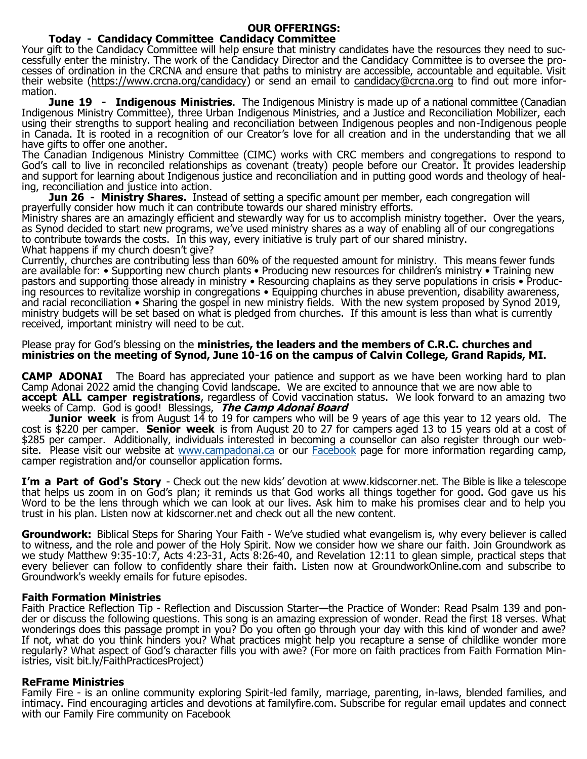### **OUR OFFERINGS:**

## **Today - Candidacy Committee Candidacy Committee**

Your gift to the Candidacy Committee will help ensure that ministry candidates have the resources they need to successfully enter the ministry. The work of the Candidacy Director and the Candidacy Committee is to oversee the processes of ordination in the CRCNA and ensure that paths to ministry are accessible, accountable and equitable. Visit their website [\(https://www.crcna.org/candidacy\)](https://www.crcna.org/candidacy) or send an email to [candidacy@crcna.org](mailto:candidacy@crcna.org) to find out more information.

**June 19 - Indigenous Ministries**. The Indigenous Ministry is made up of a national committee (Canadian Indigenous Ministry Committee), three Urban Indigenous Ministries, and a Justice and Reconciliation Mobilizer, each using their strengths to support healing and reconciliation between Indigenous peoples and non-Indigenous people in Canada. It is rooted in a recognition of our Creator's love for all creation and in the understanding that we all have gifts to offer one another.

The Canadian Indigenous Ministry Committee (CIMC) works with CRC members and congregations to respond to God's call to live in reconciled relationships as covenant (treaty) people before our Creator. It provides leadership and support for learning about Indigenous justice and reconciliation and in putting good words and theology of healing, reconciliation and justice into action.

**Jun 26 - Ministry Shares.** Instead of setting a specific amount per member, each congregation will prayerfully consider how much it can contribute towards our shared ministry efforts.

Ministry shares are an amazingly efficient and stewardly way for us to accomplish ministry together. Over the years, as Synod decided to start new programs, we've used ministry shares as a way of enabling all of our congregations to contribute towards the costs. In this way, every initiative is truly part of our shared ministry. What happens if my church doesn't give?

Currently, churches are contributing less than 60% of the requested amount for ministry. This means fewer funds are available for: • Supporting new church plants • Producing new resources for children's ministry • Training new pastors and supporting those already in ministry • Resourcing chaplains as they serve populations in crisis • Producing resources to revitalize worship in congregations • Equipping churches in abuse prevention, disability awareness, and racial reconciliation • Sharing the gospel in new ministry fields. With the new system proposed by Synod 2019, ministry budgets will be set based on what is pledged from churches. If this amount is less than what is currently received, important ministry will need to be cut.

#### Please pray for God's blessing on the **ministries, the leaders and the members of C.R.C. churches and ministries on the meeting of Synod, June 10-16 on the campus of Calvin College, Grand Rapids, MI.**

**CAMP ADONAI** The Board has appreciated your patience and support as we have been working hard to plan Camp Adonai 2022 amid the changing Covid landscape. We are excited to announce that we are now able to **accept ALL camper registrations**, regardless of Covid vaccination status. We look forward to an amazing two weeks of Camp. God is good! Blessings, **The Camp Adonai Board**

**Junior week** is from August 14 to 19 for campers who will be 9 years of age this year to 12 years old. The cost is \$220 per camper. **Senior week** is from August 20 to 27 for campers aged 13 to 15 years old at a cost of \$285 per camper. Additionally, individuals interested in becoming a counsellor can also register through our website. Please visit our website at [www.campadonai.ca](http://www.campadonai.ca) or our [Facebook](https://www.facebook.com/groups/2214805452) page for more information regarding camp, camper registration and/or counsellor application forms.

**I'm a Part of God's Story** - Check out the new kids' devotion at www.kidscorner.net. The Bible is like a telescope that helps us zoom in on God's plan; it reminds us that God works all things together for good. God gave us his Word to be the lens through which we can look at our lives. Ask him to make his promises clear and to help you trust in his plan. Listen now at kidscorner.net and check out all the new content.

**Groundwork:** Biblical Steps for Sharing Your Faith - We've studied what evangelism is, why every believer is called to witness, and the role and power of the Holy Spirit. Now we consider how we share our faith. Join Groundwork as we study Matthew 9:35-10:7, Acts 4:23-31, Acts 8:26-40, and Revelation 12:11 to glean simple, practical steps that every believer can follow to confidently share their faith. Listen now at GroundworkOnline.com and subscribe to Groundwork's weekly emails for future episodes.

### **Faith Formation Ministries**

Faith Practice Reflection Tip - Reflection and Discussion Starter—the Practice of Wonder: Read Psalm 139 and ponder or discuss the following questions. This song is an amazing expression of wonder. Read the first 18 verses. What wonderings does this passage prompt in you? Do you often go through your day with this kind of wonder and awe? If not, what do you think hinders you? What practices might help you recapture a sense of childlike wonder more regularly? What aspect of God's character fills you with awe? (For more on faith practices from Faith Formation Ministries, visit bit.ly/FaithPracticesProject)

### **ReFrame Ministries**

Family Fire - is an online community exploring Spirit-led family, marriage, parenting, in-laws, blended families, and intimacy. Find encouraging articles and devotions at familyfire.com. Subscribe for regular email updates and connect with our Family Fire community on Facebook